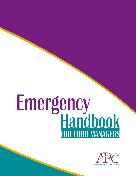# Emergency<br>Handbook

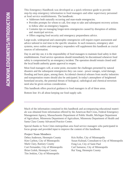This Emergency Handbook was developed as a quick reference guide to provide step-by-step emergency information to food managers and other supervisory personnel at food service establishments. The handbook:

- Addresses both naturally occurring and man-made emergencies.
- **Provides prompts for whom to call, first steps to take and subsequent recovery actions** to follow after an emergency happens.
- Contains tips on managing longer-term emergencies caused by disruption of utilities and municipal services.
- Offers ongoing food security and emergency preparedness advice.

Large-scale, widespread and catastrophic emergencies will require expert assessment and advice tailored in real time to the specific situation. In such instances, emergency alert systems, news outlets and emergency responders will supplement this handbook as crucial sources of information.

Day in and day out, it is the responsibility of food managers to maintain food safety in their establishments. Food service operations should immediately be discontinued whenever food safety is compromised by an emergency incident. The operation should remain closed until the local health authority grants approval to reopen.

Most food managers will, at some point, encounter the challenges presented by natural disasters and the subsequent emergencies they can cause - power outages, wind damage, flooding and burst pipes, among them. Accidental chemical releases from nearby industries and transportation routes should also be anticipated. In today's atmosphere of heightened homeland security, the potential threats of biological, radiological and chemical terrorism need also be given serious consideration.

This handbook offers practical guidance to food managers in all of these areas.

Bottom line: It's all about keeping our food supply safe.

Much of the information contained in this handbook and accompanying educational materials was obtained from information offered by the American Red Cross, Federal Emergency Management Agency, Massachusetts Department of Public Health, Michigan Department of Agriculture, Minnesota Department of Agriculture, Minnesota Department of Health and Santa Clara County Advanced Practice Center.

Special thanks to Twin Cities metropolitan area food service managers who participated in focus groups and provided input to improve the content of this handbook.

**Project Team Members** Debra Anderson, Hennepin County Kim Carlton, City of Minneapolis Mark Clary, Ramsey County Curt Fernandez, City of Minneapolis Brian Golob, Hennepin County Tim Jenkins, City of Minneapolis

Kris Keller, City of Minneapolis Susan Kulstad, Consultant to City of Minneapolis Fong Lor, City of Saint Paul Carl Samaroo, City of Minneapolis Rui Yang, Hennepin County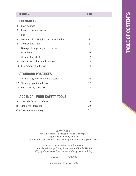|                | <b>SECTION</b>                            |                |  |  |  |
|----------------|-------------------------------------------|----------------|--|--|--|
|                | <b>SCENARIOS</b>                          |                |  |  |  |
| 1              | Power outage                              | $\overline{2}$ |  |  |  |
| 2              | Flood or sewage back-up                   | 4              |  |  |  |
| 3              | Fire                                      | 6              |  |  |  |
| 4              | Water service disruption or contamination | 7              |  |  |  |
| $\overline{5}$ | Tornado and wind                          | 8              |  |  |  |
| 6              | Biological tampering and terrorism        | 9              |  |  |  |
| 7              | Dirty bomb                                | 10             |  |  |  |
| 8              | Chemical incident                         | 12             |  |  |  |
| 9              | Solid waste collection disruption         | 13             |  |  |  |
| 10             | Pest control in a disaster                | 14             |  |  |  |
|                |                                           |                |  |  |  |

### **STANDARD PRACTICES**

| 11 Maintaining food safety in a disaster | 16 |
|------------------------------------------|----|
| 12 Cleaning up after a disaster          | 17 |
| 13 Food security checklist               | 18 |

# **ADDENDA FOOD SAFETY TOOLS**

| $A$ – Discard/salvage guidelines |    |
|----------------------------------|----|
| $B$ – Employee illness $log$     | 20 |
| $C$ – Food temperature $log$     | 21 |

*A project of the Twin Cities Metro Advanced Practice Center (APC) supported by funding from the National Association of County and City Health Officials (NACCHO):*

*Hennepin County Public Health Protection Saint Paul-Ramsey County Department of Public Health City of Minneapolis Environmental Management & Safety*

*www.naccho.org/EQUIPh/*

*First printing, September 2005*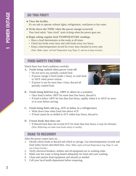- **Close the facility.**  It's not safe to operate without lights, refrigeration, ventilation or hot water.
- **Write down the TIME when the power outage occurred.** Your food safety "time clock" starts ticking when the power goes out.
- **Begin taking regular food TEMPERATURE readings.** 
	- Have a food thermometer at-the-ready at all times.
	- Check hot foods every hour and cold foods every two hours.
	- **•** Keep a time/temperature record for every item checked in every unit. *(Note: Make copies of Food Temperature Log, Page 21, and use to keep records.)*

### **FOOD SAFETY FACTORS**

Watch these four food conditions carefully:

- **A. Foods being cooked when power went off.**
	- Do not serve any partially cooked food.
	- If power outage is brief (under 1 hour), re-cook food to 165°F when power returns.
	- If power is out for more than 1 hour, discard all partially cooked food.



- B. Foods being held hot (e.g., 140°F or above in a warmer)
	- Once food is below 140°F for more than four hours, discard it.
	- If food is below 140°F for less than four hours, rapidly reheat it to 165°F on stove or in oven before serving.
- C. Foods being held cold (e.g., 41°F or below in a refrigerator)
	- Write down time when food rises above 41°F.
	- If food cannot be re-chilled to 41°F within four hours, discard it.
- **D. Frozen foods that thaw out**
	- If thawed food does not exceed 41°F for more than four hours, it may be refrozen. *(Note: Refreezing can make some foods watery or mushy).*

### **ROAD TO RECOVERY**

After the power comes back on…

- 1. Decide which foods to discard and which to salvage. Use time/temperature records and food safety factors described here. *(Note: Make copies of Food Temperature Log, Page 21, and use to keep records.)*
- 2. Verify electrical breakers, utilities and all equipment are in working order.
- 3. Make sure hot water is being heated adequately for hand and ware washing.
- 4. Clean and sanitize food equipment and utensils as needed.
- 5. Call your local health department before reopening.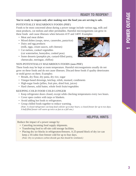### **READY TO REOPEN?**

### **You're ready to reopen only after making sure the food you are serving is safe.**

### **POTENTIALLY HAZARDOUS FOODS (PHF)**

Foods to be most concerned about during a power outage include various egg, milk and meat products, cut melons and other perishables. Harmful microorganisms can grow in these foods and cause illnesses when between 41°F and 140°F. Examples:

- Meat and meat dishes
- Mixed dishes (soups, stews, casseroles, pasta/rice)
- Dairy and egg products (milk, eggs, cream sauces, soft cheeses)
- Cut melons, cooked vegetables (cut watermelon, honeydew, cooked peas)
- Some desserts (pumpkin pie, custard-filled pastry, cheesecake, meringue, chiffon)



### **NON-POTENTIALLY HAZARDOUS FOODS (non-PHF)**

These foods may be kept at room temperature. Harmful microorganisms usually do not grow on these foods and do not cause illnesses. Discard these foods if quality deteriorates or mold grows on them. Examples:

- Breads, dry flour, dry pasta, dry rice, sugar
- Vinegar-based dressings, ketchup, relish, mustard, condiments
- High-sugar foods (jellies, fruit pies, dried fruit, juices)
- Hard cheeses, solid butter, whole fresh fruits/vegetables

### **KEEPING COLD FOOD COLD LONGER**

- Keep refrigerator doors closed, except while checking temperatures every two hours.
- Cover open coolers with tarps or blankets.
- Avoid adding hot foods to refrigerators.
- Group chilled foods together to reduce warming. *(Note: A closed refrigerator can keep food cold for up to four hours; a closed freezer for up to two days. A half-filled freezer will warm up twice as fast as a full one.)*

### **HELPFUL HINTS**

Reduce the impact of a power outage by:

- Canceling incoming food supply shipments.
- Transferring food to off-site cold storage facilities.
- Placing dry ice blocks in refrigerators/freezers. A 25-pound block of dry ice can keep a 10-cubic-foot freezer cold for up to four days.

*(Note: Dry ice produces carbon dioxide gas that should be ventilated.)*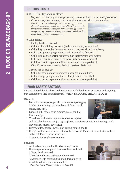- **DECIDE: Stay open or close?**
	- Stay open if flooding or sewage back-up is contained and can be quickly corrected.
	- Close if any food storage, prep or service area is at risk of contamination.

*Note: Flood waters and sewage can contain rotting food, feces, chemicals and disease-causing organisms which will contaminate the operation and easily cause food-borne illnesses. If flooding or sewage back-up can not immediately be contained and cleaned up, the facility should be closed until it can.* 

### **GET HELP**

If facility has been flooded:

- Call the city building inspector (to determine safety of structure).
- Call utility companies (to assure safety of gas, electric and telephone).
- Call a sewage-pumping contractor (if septic tank is flooded).
- Call a well contractor (for disinfection of contaminated well water).
- Call your property insurance company (to file a possible claim).
- Call local health department (for response and clean-up advice). *(Note: Keep these contact numbers in the front pocket of this binder)*

If sewer has backed up:

- Call a licensed plumber to remove blockages in drain lines.
- Call a sewage-pumping contractor if septic tank is overfilled.
- Call local health department (for response and clean-up advice).

# **FOOD SAFETY FACTORS**

Discard all food that has been in direct contact with flood water or sewage and anything that cannot be washed and disinfected. WHEN IN DOUBT, THROW IT OUT!

### **Discard:**

- Foods in porous paper, plastic or cellophane packaging that became wet (e.g. boxes or bags of flour, cereal, mixes, rice, salt).
- Exposed bulk foods, fresh produce, meat, poultry, fish and eggs.
- Containers with screw tops, corks, crowns, caps or pull tabs that became wet (e.g. glass/plastic containers of ketchup, dressings, milk, mayonnaise, sauces, beverages).
- Rusted, pitted, dented, swollen or leaking canned goods.
- Refrigerated or frozen foods that have been over 41°F and hot foods that have been under 140°F for four or more hours.
- Contaminated single-service items.

### **Salvage:**

- All foods not exposed to flood or sewage water
- Undamaged canned goods that have been sanitized 1. Paper label removed
	- 2. Washed with soap and water, then rinsed
	- 3. Sanitized with sanitizing solution, then air dried
	- 4. Relabeled with permanent marker.
	- *(Note: See Discard/Salvage Guidelines, Page 19)*





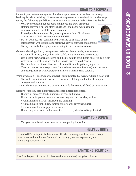### **ROAD TO RECOVERY**

**Consult professional companies for clean-up services after a flood or sewage back-up inside a building. If restaurant employees are involved in the clean-up**

- **work, the following guidelines are important to protect their safety and health. •** Wear eye protection, rubber boots and gloves and outer protective clothing (coveralls or long-sleeve shirts and long pants) when handling items contaminated with flood or sewer water.
	- **•** If mold problems are identified, wear a properly fitted filtration mask that carries the N-95 designation from NIOSH.
	- **•** Do not walk between contaminated areas and other areas of the establishment without removing protective gloves, footwear and clothing.
	- **•** Wash your hands thoroughly after working in the contaminated area.

**General cleaning - hard, non-porous surfaces (floors, walls, equipment)**

- **•** Remove all sewage, mud, silt or other solids and then remove excess water.
- **•** Use a stiff brush, water, detergent, and disinfectant to scrub floors followed by a clean water rinse. Repeat wash and sanitize steps to prevent mold growth.
- **•** Use fans, heaters, air conditioners or dehumidifiers to help the drying process.
- **•** Clean all hard surfaces (equipment, ice machine, counters, furniture) with hot water and detergent; rinse with water; then disinfect with sanitizing solution.

**Wash or discard - linens, mops, apparel (contaminated by event or during clean-up)**

- **•** Wash all contaminated items such as linens and clothing used in the clean-up in detergent and hot water.
- **•** Launder or discard mops and any cleaning aids that contacted flood or sewer water.

**Discard - porous, soft, absorbent and other uncleanable items**

- **•** Discard all damaged food equipment, utensils and linens.
- **•** Discard all soft, porous materials because they are not cleanable, such as:
	- Contaminated drywall, insulation and paneling.
	- Contaminated furnishings, carpets, pillows, wall coverings, paper.
	- Contaminated books, paperwork, menus.
- **•** Discard any exposed item that cannot be effectively disinfected (e.g., toaster).

### **READY TO REOPEN?**

**•** Call your local health department for a pre-opening inspection.

### **HELPFUL HINTS**

Use CAUTION tape to isolate a small flooded or sewage back-up area to keep customers and employees from walking through, getting exposed to, and spreading contamination.

### **SANITIZING SOLUTION**

Use 1 tablespoon of household bleach (without additives) per gallon of water.

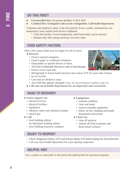- **Uncontrolled fire: Evacuate facility! CALL 911!**
- **Confined fire: Extinguish with on-site extinguisher. Call health department.**

Customer and employee safety is the first priority. Even a small, contained fire can temporarily cause unsafe food service conditions.

- Close the facility, if even temporarily, until food safety can be assured.
- Reopen only after taking necessary recovery steps.

### **FOOD SAFETY FACTORS**

After a fire, many foods may no longer be safe to serve.

### **Discard:**

- Food in opened containers.
- Food in paper or cardboard containers.
- Disposables in opened sleeves or liners.
- Any food or disposable that shows water or heat damage.
- Food in screw-type lids.
- Refrigerated or frozen foods that have been above 41°F for more than 4 hours.
- Ice in ice bins.
- Cans that are dented or rusty.
- Any food that appears damaged. *(Note: See Discard/Salvage Guidelines, Page 19)*
- Call your local health department for an inspection and assessment.

### **ROAD TO RECOVERY**

- **Assess impacts on:** 
	- electrical service
	- physical facilities
	- equipment
	- offensive odors and chemical residues
	- natural gas
- **Call:**
	- local building official (to determine building safety)
	- your building insurance company
- **Equipment:**
	- evaluate condition
	- clean and repair
	- remove unusable equipment
	- follow all fire, building and health department instructions
- **Clean Up:**
	- clean all surfaces
	- sanitize all food containers and food-contact surfaces

### **READY TO REOPEN?**

- Check refrigerators (below 41°F) and freezers (below 0°F) before taking new food deliveries.
- Call your local health department for a pre-opening inspection.

### **HELPFUL HINT**

Use a camera or camcorder to document discarded goods for insurance purposes.

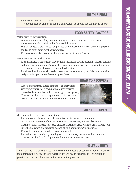### **CLOSE THE FACILITY!**

Without adequate and clean hot and cold water you should not continue to operate.

### **FOOD SAFETY FACTORS**

### **Water service interruption:**

- A broken main water line, malfunctioning well or worn-out water heater can each create unsafe conditions for food establishments.
- Without adequate clean water, employees cannot wash their hands, cook and prepare foods and clean equipment appropriately.
- Rest rooms quickly become health hazards without running water.

### **Water service contamination:**

- A contaminated water supply may contain chemicals, toxins, bacteria, viruses, parasites and other harmful microorganisms that cause human illnesses and can result in death.
- Safe water is essential to operate a safe food business.
- Local health authorities will need to determine the nature and type of the contamination and prescribe appropriate abatement procedures.
- A food establishment closed because of an interrupted water supply must not reopen until safe water service is restored and the local health department approves reopening.
- Contact your local health department to discuss water system and food facility decontamination procedures.

# **ROAD TO RECOVERY**



### **READY TO REOPEN?**

After safe water service has been restored:

- Flush pipes and faucets; run cold water faucets for at least five minutes.
- Make sure equipment with water line connections (filters, post-mix beverage machines, spray misters, coffee/tea urns, ice machines, glass washers, dishwashers, etc.) is flushed, cleaned and sanitized according to manufacturers' instructions.
- Run water softeners through a regeneration cycle.
- Flush drinking fountains by running water continuously for at least five minutes.
- Contact your local health department for a pre-reopening inspection.

### **HELPFUL HINTS**

Document the time when a water service disruption occurs or contamination is suspected, then immediately notify the local water utility and health department. Be prepared to provide information, if known, on the cause of the problem.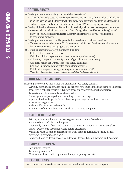- **During a tornado warning A tornado has been sighted.** 
	- Close facility. Help customers and employees find shelter away from windows and, ideally, in an enclosed area at the lowest level. Stay away from chimneys and large, unattached items such as refrigerators. Turn on a weather radio or local TV for emergency advisories.
- **During high-wind situations Damaging high-velocity winds have been reported in the area.** 
	- Potential risks include downed live power lines, flying debris, wind-blown broken glass and heavy objects. Close facility and assist customers and employees as you would during a tornado warning (above).
- **During a tornado watch** The potential for tornadoes is considered imminent,
	- Turn on a weather radio or local TV for emergency advisories. Continue normal operations but remain attentive to changing weather conditions.
- **Before re-entering a storm-damaged building:**
	- Call 911 if a power line is down.
	- Call city building department (to determine safety of structure).
	- Call utility companies (to verify status of gas, electric & telephone).
	- Call local health department (for food safety guidance).
	- Call your insurance company (to begin claim process).
	- Call local emergency management agency (for disaster relief). *(Note: Keep these contact numbers in the front pocket of this booklet's binder.)*

# **FOOD SAFETY FACTORS**

Broken glass blown by high winds is a significant food safety concern.

- Carefully examine area for glass fragments that may have impaled food packaging or embedded food, even if not clearly visible. All suspect foods and service items must be discarded.
- **In particular, be especially cautious with:**
	- any open or unpackaged food, including ice and beverages
	- porous food packaged in fabric, plastic or paper bags or cardboard cartons
	- fruits and vegetables
	- disposable dishware and utensils
	- filters, purifiers, and beverage cartridges attached to equipment.

### **ROAD TO RECOVERY**

- Wear eye, hand and limb protection to guard against injury from debris.
- Remove debris and place in dumpster.
- Thoroughly vacuum floors and seating areas to ensure removal of hard-to-see glass shards. Double-bag vacuumed waste before discarding.
- Wash and rinse all food contact surfaces, work stations, furniture, utensils, dishes, silverware, glassware, and floors.
- Sanitize all food contact surfaces, work stations, utensils, dishes, silverware, and glassware.

### **READY TO REOPEN?**

- Are utilities restored?
- Is clean-up complete?
- Contact your local health department for a pre-opening inspection.

### **HELPFUL HINTS**

Use a camera or camcorder to document discarded goods for insurance purposes.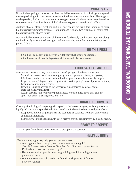# **WHAT IS IT?**

Biological tampering or terrorism involves the deliberate use of a biological agent to spread disease-producing microorganisms or toxins in food, water or the atmosphere. These agents can be powders, liquids or in other forms. A biological agent will almost never cause immediate symptoms, as it takes time for the biological agent to grow or cause its toxic effects.

Anthrax, cholera, plague, smallpox and viral encephalitis are just a few examples of potential bioterrorist-introduced diseases. Botulinum and ricin are two examples of toxins that bioterrorists might choose to use.

Because deliberate contamination of the nation's food supply can happen anywhere along the food supply stream, food managers and workers play key roles in minimizing these potential threats.

# **DO THIS FIRST!**

- **Call 911 to report any activity or delivery that seems suspicious.**
- **Call your local health department if unusual illnesses occur.**

# **FOOD SAFETY FACTORS**

Preparedness paves the way to prevention. Develop a good food security system!

- Maintain a current list of local emergency contacts *(See card in binder, front pocket.)*
- Eliminate unauthorized access where food is open, vulnerable and easily targeted.
- Inspect incoming shipments for suspicious items (tampering, unusual powder or liquid).
- Keep precise inventory records.
- Report all unusual activity to the authorities (unauthorized vehicles, people, theft, sabotage, vandalism).
- Assign specific staff to monitor public access to buffet lines, food carts and any open food areas, ensuring foods are safe.

# **ROAD TO RECOVERY**

Clean-up after biological tampering will depend on the biological agent, its form (powder or liquid) and how it was spread (food, air or water) and is determined on a case-by-case basis.

- **•** Keep foods in their original places and seek further guidance from law enforcement and health authorities.
- **•** Follow special intructions on how to safely dispose of items contaminated by biologic agents.

# **READY TO REOPEN?**

**•** Call your local health department for a pre-opening inspection.

# **HELPFUL HINTS**

Early warning signs may help you recognize a threat:

- **•** Are large numbers of employees or customers becoming ill? *(Note: Make copies and use Employee Illness Log, Page 20, to track employee illnesses.)*
- Do foods not look, feel or smell right?
- **•** Have unauthorized people been caught doing suspicious things in food preparation areas?
- **•** Have you seen unusual powders or liquids in shipments of food or delivery vehicles?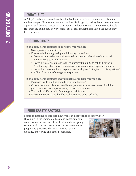### **WHAT IS IT?**

A "dirty" bomb is a conventional bomb mixed with a radioactive material. It is not a nuclear weapon. Exposure to radioactive dust discharged by a dirty bomb does not mean a person will develop cancer or other radiation-related diseases. The radiological health risk from the bomb may be very small, but its fear-inducing impact on the public may be very large.

### **DO THIS FIRST!**

- **If a dirty bomb explodes in or next to your facility**
	- **•** Stop operations immediately.
	- **•** Evacuate the building, taking the following precautions:
		- **•** Cover mouths and noses with wet cloths to prevent inhalation of dust or ash while walking to a safe location.
		- **•** Leave the blast site on foot. Walk to a nearby building and call 911 for help.
		- Avoid taking public transit to minimize contamination and exposure to others.
		- Leave door unlocked for emergency personnel. *(Note: Lock registers and take key with you.)*
		- **•** Follow directions of emergency responders.
- **If a dirty bomb explodes several blocks away from your facility**
	- **•** Everyone inside building should stay inside building.
	- **•** Close all windows. Turn off ventilation systems and stay near center of building. *(Note: This will minimize exposure to stray radiation, if there is any.)*
	- **•** Turn on local TV or radio for emergency advisories.
	- **•** Follow directions of local public health, fire and police officials.

# **FOOD SAFETY FACTORS**

**Focus on keeping people safe now; you can deal with food safety later.**

If you are in the immediate blast and contamination zone, follow instructions from health and emergency response officials on procedures for decontamination of people and property. This may involve removing clothing, showering and other procedures.

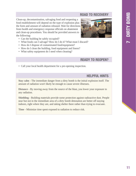# **ROAD TO RECOVERY**

Clean-up, decontamination, salvaging food and reopening a food establishment will depend on the type of explosion plus the form and amount of radiation released. Wait for directions from health and emergency response officials on abatement and clean-up procedures. You should be provided answers to the following:



- Can the building be safely occupied?
- **•** What foods can I salvage? How do I do it? What must I discard?
- **•** How do I dispose of contaminated food/equipment?
- How do I clean the building, food equipment and linens?
- What safety equipment do I need when cleaning?

# **READY TO REOPEN?**

**•** Call your local health department for a pre-opening inspection.

# **HELPFUL HINTS**

**Stay calm** - The immediate danger from a dirty bomb is the initial explosion itself. The amount of radiation won't likely be enough to cause severe illnesses.

**Distance** - By moving away from the source of the blast, you lower your exposure to any radiation.

**Shielding** - Building materials provide some protection against radioactive dust. People near but not in the immediate area of a dirty bomb detonation are better off staying indoors, right where they are, and taking shelter there rather than trying to evacuate.

**Time** - Minimize time spent exposed to radiation to reduce risk.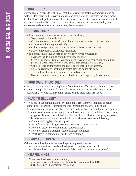# **WHAT IS IT?**

Any release of a hazardous chemical that threatens public health, contaminates food or water or does harm to the environment is a chemical incident. Examples include a tanker truck rollover and spill, an industrial facility release, or an act of terror in which chemical agents are intentionally released. If these incidents occur at or near your facility, your employees and customers can immediately be endangered.

# **DO THIS FIRST!**

**If a chemical release occurs inside your building:**

- Stop operations immediately.
- Cover mouths and noses with wet cloths to prevent inhalation of chemicals.
- Evacuate the building immediately.
- Call 911 to report the release and any terrorist or suspicious activity.
- Follow directions of emergency responders.
- **If a chemical release occurs in the vicinity of your building:**
	- Everyone inside building should stay inside building.
	- Close all windows. Turn off ventilation systems and stay near center of building. *(Note: This will minimize exposure to wind-carried chemical vapor, if there is any.)*
	- Call 911 to report the release and any terrorist or suspicious activity.
	- Follow directions of local public health, fire and police officials.
	- Turn on local TV or radio for emergency advisories.
	- Stop all food and beverage service foods and beverages may be contaminated.

# **FOOD SAFETY FACTORS**

- First, protect customers and employees from the direct effects of the chemical release.
- Do not attempt clean-up until chemical-specific guidance is provided by the health department. (Wiping up, in some instances, can do more harm than good.)

# **ROAD TO RECOVERY**

- **•** If you are in the contamination (or "hot") zone, emergency responders or health authorities will provide chemical-specific instructions on how to go about decontamination. This may involve removing clothes, showering, and other procedures.
- **•** Clean-up, decontamination, salvaging food and reopening a food establishment will depend on the type of chemical released. Wait for directions from health and emergency response officials on clean-up procedures. You should be provided answers to the following:
	- Can the building be safely occupied?
	- What foods can I salvage? How do I do it? What must I discard?
	- How do I dispose of contaminated food/equipment?
	- How do I clean the building, food equipment and linens?
	- What safety equipment do I need when cleaning?

# **READY TO REOPEN?**

Call your local health department for help and approval to reopen.

- **•** All contaminated food needs to be disposed of in a permitted landfill.
- **•** All discarded food must be documented (also useful for insurance purposes).

# **HELPFUL HINTS**

- **•** Never taste food to determine its safety.
- **•** If a person eats or drinks anything chemically contaminated, call 911.
- **•** If a chemical gets in a person's eyes, call 911.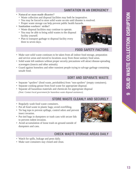### **SANITATION IN AN EMERGENCY**

- **Natural or man-made disaster?**
	- Waste collection and disposal facilities may both be inoperative.
	- You may be forced to store solid waste on-site until disaster is resolved.
	- Proper waste storage can help prevent public health hazards.
- **Sanitation workers' strike?** 
	- Waste disposal facilities may continue to operate.
	- You may be able to bring solid wastes to the disposal facility yourself.
	- Plan to transport garbage to disposal facility every three to seven days.



### **FOOD SAFETY FACTORS**

- Make sure solid waste continues to be taken from all indoor food storage, preparation and service areas and moved to locations away from those sanitary food areas.
- Solid waste left outdoors without proper security precautions will attract disease-spreading scavengers (insects and other animals).
- Guard against homeless and other transient people trying to salvage garbage containing unsafe food.

### **SORT AND SEPARATE WASTE**

- Separate "spoilers" (food waste, perishables) from "non-spoilers" (empty containers).
- Separate cooking grease from food waste for appropriate disposal.
- Separate all hazardous materials and chemicals for appropriate disposal *(Note: Contact local government for hazardous waste disposal assistance).*

### **STORE WASTE CLEANLY AND SECURELY**

- Regularly wash food waste containers.
- Put all food waste in plastic bags; avoid overfilling.
- Tie bag tops to prevent spillage, control odors and prevent insect invasion.
- Put tied bags in dumpsters or trash cans with secure lids to prevent rodent invasion.
- Avoid accumulation of loose trash on ground outside of dumpsters and cans.



### **CHECK WASTE STORAGE AREAS DAILY**

- Watch for spills, leakage and pests daily.
- Make sure containers stay closed and clean.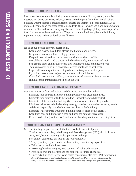# **WHAT'S THE PROBLEM?**

Pests often become a problem during other emergency events. Floods, storms, and other disasters can dislocate snakes, rodents, insects and other pests from their normal habitats. Standing water becomes a breeding site for insects and vermin (e.g., mosquitoes). Dead animals become food for other pests (e.g., rodents, flies). Sewage and flood contamination can lead to flies and rodents carrying diseases. Lack of garbage pickup can also provide food for insects, rodents and vermin. They can damage food, supplies and buildings, repel customers and cause food-borne illnesses.

# **HOW DO I EXCLUDE PESTS?**

It's all about closing off every access point.

- Keep doors closed. Install door closers and bottom door sweeps.
- Keep dock doors closed and seal gaps around them.
- Keep windows closed and put screens on windows when possible.
- Seal all holes, cracks and crevices in the building walls, foundation and roof.
- Seal around pipes and install screens over ventilation pipes and ducts on roof.
- Train employees to be alert about these access points and to spot pests.
- Inspect all incoming shipments of goods and delivery vehicles for pests.
- If you find pests in food, reject the shipment or discard the food.
- If you find pests in your building, contact a licensed pest control company to eliminate them immediately; then clean the area.

# **HOW DO I AVOID ATTRACTING PESTS?**

Remove sources of food and habitat, and clean and maintain the facility.

- Eliminate food sources inside the building (clean often, clean right away).
- Eliminate food sources outside the building (especially around dumpster).
- Eliminate habitat inside the building (keep floors cleaned, items off ground).
- Eliminate habitat outside the building (mow grass often, remove leaves, nests, weeds and debris, especially that which is very are close to the building).
- Eliminate water sources around the building (ditches, pails, pools, cracks).
- Keep trash cans and dumpsters closed and keep the dumpster area clean.
- Remove old, rotting fruit and vegetables inside building to eliminate breeding sites.

# **WHERE CAN I GET EXPERT ASSISTANCE?**

Seek outside help so you can use all the tools available to control pests.

- Consider an overall plan, called Integrated Pest Management (IPM), that looks at all pests, food, habitat, breeding cycles, pesticides and traps.
- Pest control companies can help in the following areas:
	- Traps (live traps, glue boards, mechanical traps, monitoring traps, etc.).
	- Bait to attract and eliminate pests.
	- Assessing building integrity, food sources and habitat elimination.
	- Pesticides, tracking powders and the proper use of these chemicals.
	- University Extension Services and health departments also have IPM information. *(Note: Pesticide use in food establishments is highly regulated. Only specified pesticides may be used; many may be applied by licensed, trained applicators only. Always read pesticide labels.)*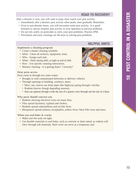### **ROAD TO RECOVERY**

After a disaster is over, you will want to keep close watch over pest activity.

- Immediately after a disaster, pest activity often peaks, then gradually diminishes.
- Even in non-disaster times, you will encounter some pest activity. It is good business to always monitor pest activity in your operation to prevent problems.
- Do not rely solely on pesticides to solve your pest problems. Practice IPM.
- Prevention and early warnings are the keys to solving pest problems.

### **Implement a cleaning program**

- Create a master cleaning schedule.
- What Clean all surfaces, equipment, tools.
- Who Assign each task.
- When Daily during shift; at night at end of shift.
- How Use specific cleaning instructions.
- Monitor cleaning Is it getting done? Correctly?

### **Deny pests access**

Pests come in through two main routes:

- Brought in with contaminated deliveries or delivery vehicles
- Through openings in building, windows, doors
	- Mice, rats, insects use drain pipes like highways going through a facility.
	- Rodents burrow though degrading masonry.
	- Rats can squeeze through a hole the size of a quarter; mice through one the size of a dime.

### **Why pests should concern you**

- Rodents chewing electrical wires set many fires.
- Flies spread dysentery, typhoid and cholera.
- Rodents spread salmonellosis and rat-bite fever.
- Mosquitoes spread malaria, encephalitis, yellow fever, West Nile virus and more.

### **When you seal holes & cracks**

- Make sure the seals are tight.
- Use durable materials to seal holes, such as concrete or sheet metal, as rodents will chew through soft materials. Steel wool can serve as a temporary seal.



**HELPFUL HINTS**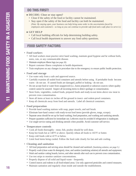- **DECIDE: Close or stay open?**
	- Close if the safety of the food or facility cannot be maintained.
	- Stay open if the safety of the food and facility can both be maintained. *(Note: By staying open, your business can help bring some order to the uncertainties faced by employees and customers - so long as you can continue to provide safe food and a safe place to serve it.)*

### **GET HELP**

- Call local building officials for help determining building safety.
- Call local health department to answer any food safety questions.

# **FOOD SAFETY FACTORS**

- **Food workers**
	- All food workers must practice strict hand washing, maintain good hygiene and be without boils, sores, cuts, or any communicable disease.
	- Maintain employee illness logs *(see page 20).*
	- Report customer illness complaints to health department.
	- Train employees on any changes in procedure due to the emergency to ensure public health protection.

### **• Food and storage**

- Use water only from a safe and approved source.
- Carefully examine all sealed food containers and utensils before using. If perishable foods become warm - do not use. If canned foods are damaged, puffed or leaking - do not use.
- Do not accept food or water from unapproved (i.e., home prepared) or unknown sources where quality control cannot be assured. Inspect all incoming items to detect spoilage or contamination.
- Store fruits, vegetables, cooked foods, prepared foods and ready-to-eat items above raw meat to prevent cross contamination.
- Store all items at least six inches off the ground in insect- and rodent-proof containers.
- Keep all chemicals away from food and utensils. Label all chemical containers.

### **• Food preparation**

- Provide hand washing stations with soap, paper towels, and nail brush.
- Eliminate bare-hand contact with ready-to-eat food items (provide gloves, tongs, scoops).
- Separate areas should be set up for hand washing, food preparation, and washing and sanitizing utensils.
- Prepare quantities sufficient for immediate use. Leftovers must be avoided if refrigeration is inadequate.
- Use single-service eating and drinking utensils when possible. Avoid customer self-service.

### **• Temperature controls**

- Cook all foods thoroughly meat, fish, poultry should be well done.
- $*$  Keep hot foods hot at 140°F or above. Quickly reheat all foods to 165°F or hotter.
- ◆ Keep cold foods cold at 41°F or below.
- Limit food items being cooled. Follow the food code closely for fast and safe cooling.
- **Cleaning and sanitation**
	- All food preparation and serving areas should be cleaned and sanitized. *(Sanitizing solution, see page 5.)*
	- Properly wash (clean water & detergent), rinse, and sanitize (sanitizing solution) all utensils and equipment.
	- Wash and sanitize cutting boards, knives, and other utensils after each use to prevent cross contamination.
	- Use test strips to monitor sanitizer concentrations.
	- Properly dispose of all solid and liquid waste frequently.
	- Control insects and rodents in all food-related areas. Use only approved pesticides and control measures.
	- Maintain sanitation and regularly clean inside and outside the establishment.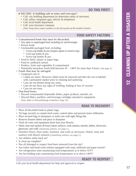### **DECIDE: Is building safe to enter and reoccupy?**

- Call: city building department (to determine safety of structure)
- Call: utility companies (gas, electric & telephone)
- Call: local health department
- Call: your insurance company *(Note: Keep these contact numbers in the front pocket of this booklet's binder)*

### **• Contaminated foods that must be discarded:**

- Any open or unpackaged food, including ice and beverages
- Porous foods
- Uncleanable packaged food, including:
	- Crown-cap bottles  $\&$  jars (require opener to remove top)
	- Cork-top bottle & jars
	- Screw-top bottles & jars
- Food in fabric, plastic or paper bags
- Food in cardboard cartons
- Produce, fruits and vegetables if contaminated
- \* Potentially hazardous foods held between 41<sup>°</sup> 140°F for more than 4 hours. *(See page 3.)*
- **Foods that may be salvaged:** 
	- Unopened cans if:
		- Labels are intact. However, labels must be removed and then the can re-labeled with a permanent marker prior to cleaning and sanitizing
		- Cans are not dented along any seam.
		- Cans do not show any signs of swelling, leaking or loss of vacuum.
		- Cans are not rusty.
- **Non-food items:** 
	- Discard contaminated disposable dishes, paper products, utensils, etc.
	- Discard filters, purifiers, and beverage cartridges attached to equipment. *(Note: Refer to Discard/Salvage Guidelines, Page 19.)*

# **ROAD TO RECOVERY**

- Place all discarded foods in plastic bags.
- Tie bags securely to contain food waste, control odors and prevent insect infiltration.
- Place secured bags in dumpsters or trash cans with tight fitting lids.
- Remove disaster debris and place in dumpster.
- Flush all water and equipment drain lines (use bleach).
- Wash, rinse and sanitize all food contact surfaces, work stations, utensils, dishes, silverware, glassware, and walls. *(Sanitizing solution, see page 5.)*
- Disinfect floors, floor-sinks, furniture, and walls as necessary. (Wash, rinse and sanitize with bleach solution.) *(Sanitizing solution, see page 5.)*
- Are utilities safely back on?
- Is clean-up complete?
- **•** Has all damaged or suspect food been removed from the site?
- **•** Are toilets and hand-wash stations equipped with soap, nailbrush and paper towels?
- Are refrigeration units maintaining food temperatures at or below 41°F?
- Are hot holding units maintaining food temperatures at or above 140°F?

# **READY TO REOPEN?**

Call your local health department for help and approval to reopen.

# **FOOD SAFETY FACTORS**



**DO THIS FIRST!**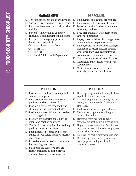| <b>MANAGEMENT</b><br>$\Box$ The food facility has a food security plan.<br>$\Box$ A record is kept of employee illness reports.<br>Personnel have received food security<br>$\Box$<br>training.<br>$\Box$ Personnel know what to do if they<br>encounter a product tampering incident.<br>In case of an emergency, personnel<br>$\Box$<br>know whom to contact: | <b>PERSONNEL</b><br>Employment applications are required.<br>Ц<br>Employment references are checked.<br>□<br>$\Box$ Personnel receive food security training<br>when they are hired.<br>$\Box$ Food preparation areas are restricted to<br>authorized personnel.<br>Employees are not allowed to bring personal<br>◻<br>items into food preparation areas.                        |
|-----------------------------------------------------------------------------------------------------------------------------------------------------------------------------------------------------------------------------------------------------------------------------------------------------------------------------------------------------------------|-----------------------------------------------------------------------------------------------------------------------------------------------------------------------------------------------------------------------------------------------------------------------------------------------------------------------------------------------------------------------------------|
| Internal: Person in Charge<br>$\bigcirc$<br>Police $(911)$<br>$\bigcirc$<br>Fire $(911)$<br>$\bigcirc$<br>$\bigcirc$<br>Local Public Health Department                                                                                                                                                                                                          | $\Box$ Employee sick leave policy encourages<br>individuals to report illnesses and not<br>work when they have gastrointestinal<br>symptoms or a communicable disease.<br>$\Box$ Customers are restricted to public areas.<br>$\Box$ Contractors are restricted to their work<br>required areas.<br>Contractors and vendors are monitored<br>while they are at the food facility. |
| <b>PRODUCTS</b>                                                                                                                                                                                                                                                                                                                                                 | <b>PROPERTY</b>                                                                                                                                                                                                                                                                                                                                                                   |
| $\Box$ Products are purchased from reputable,<br>commercial suppliers.<br>Purchase records are maintained for<br>П                                                                                                                                                                                                                                              | $\Box$ Doors opening onto the loading dock are<br>kept locked when not in use.<br>$\Box$ All truck shipments (incoming and out                                                                                                                                                                                                                                                    |
| product trace back and recalls.<br>Products arrive at the food facility in<br>□.                                                                                                                                                                                                                                                                                | going) are monitored by food service<br>employees.                                                                                                                                                                                                                                                                                                                                |
| clean and secure transport vehicles.<br>Products are never left unsupervised on                                                                                                                                                                                                                                                                                 | Products are inspected upon delivery.<br>$\Box$ There is good lighting for all high-risk                                                                                                                                                                                                                                                                                          |
| the loading dock.<br>$\Box$ Products are inspected for tampering<br>prior to preparation or service.                                                                                                                                                                                                                                                            | areas at the facility.<br>$\Box$ Hazardous chemicals including any<br>pesticides are kept locked in a secure area.                                                                                                                                                                                                                                                                |
| The facility has guidelines for handling<br>⊔<br>product tampering incidents.                                                                                                                                                                                                                                                                                   | High-risk areas are marked "employees"<br>ப<br>only" and access is limited to employees                                                                                                                                                                                                                                                                                           |
| Food items are prepared by personnel<br>ш<br>trained in food safety and food security                                                                                                                                                                                                                                                                           | who work in the area.<br>$\Box$ There is a key control system for store keys.                                                                                                                                                                                                                                                                                                     |
| procedures.<br>Drinkable water is used for rinsing and<br>ш<br>for preparing food items.                                                                                                                                                                                                                                                                        | $\Box$ Consider operating security cameras,<br>as appropriate, in high-risk and<br>high-traffic areas.                                                                                                                                                                                                                                                                            |
| Salad bars and self-serve carts are<br>closely monitored by staff to prevent<br>contamination and product tampering.                                                                                                                                                                                                                                            |                                                                                                                                                                                                                                                                                                                                                                                   |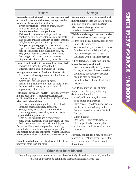| <b>Discard</b>                                                                                                                                                                                                                                                                                                                                                                                                                                                                                                                                                                                                                                                                                                                                                                                                                                  | <b>Salvage</b>                                                                                                                                                                                                                                                                                                                                                                                                                                                             |  |  |
|-------------------------------------------------------------------------------------------------------------------------------------------------------------------------------------------------------------------------------------------------------------------------------------------------------------------------------------------------------------------------------------------------------------------------------------------------------------------------------------------------------------------------------------------------------------------------------------------------------------------------------------------------------------------------------------------------------------------------------------------------------------------------------------------------------------------------------------------------|----------------------------------------------------------------------------------------------------------------------------------------------------------------------------------------------------------------------------------------------------------------------------------------------------------------------------------------------------------------------------------------------------------------------------------------------------------------------------|--|--|
| Any food or service item that has been contaminated<br>or come in contact with water, sewage, smoke,<br>fumes or chemicals. This includes:<br><b>Fresh perishables</b> - produce, meat, poultry,<br>fish, dairy products and eggs.<br><b>Opened containers and packages</b>                                                                                                                                                                                                                                                                                                                                                                                                                                                                                                                                                                     | Frozen foods if stored in a sealed walk-<br>in or cabinet freezer (no water, smoke,<br>fumes or chemical infiltration) and<br>where ambient temperature has<br>remained below 41°F.                                                                                                                                                                                                                                                                                        |  |  |
| <b>Vulnerable containers</b> with peel-off, waxed<br>cardboard, cork or screw tops or paraffin seals<br>such as glass or plastic containers of catsup, dressing,<br>milk, horseradish, mayonnaise, pop, beer, sauces, etc.<br>Soft, porous packaging - food in cardboard boxes,<br>paper, foil, plastic, and cellophane such as boxes or<br>bags of food, cereal, flour, sugar, rice, salt, etc.<br><b>Dry goods</b> - spices, seasoning and extracts,<br>flour, sugar and other staples in canisters.<br>Single service items - plates, cups, utensils, lids, etc.                                                                                                                                                                                                                                                                             | <b>Disinfect undamaged cans and bottles</b><br>that have no heat or water damage and<br>are free from dents, bulging, leaks or rust.<br>Paper label removed<br>$\bullet$<br>Washed with soap and water, then rinsed<br>Sanitized with sanitizing solution,<br>then air dried (Solution, see page 5.)<br>Relabeled with permanent marker.<br>$\bullet$                                                                                                                      |  |  |
| Canned and bottled items should be discarded:<br>If charred or near the heat of the fire.<br>If rusted, pitted, dented, swollen or leaking.<br>$\bullet$<br><b>Refrigerated or frozen food</b> must be discarded if:<br>In contact with sewage, water, smoke, fumes or<br>$\bullet$<br>chemical seepage.<br>Above 41°F for four hours or more.<br>Frozen and then thawed for four or more hours.                                                                                                                                                                                                                                                                                                                                                                                                                                                | If fire, flood or sewage back-up has<br>been effectively contained:<br>Food in areas unaffected by smoke,<br>$\bullet$<br>fumes, water, heat, fire suppression<br>chemicals, floodwater or sewage<br>back-up may be salvaged.<br>Seek the advice of your local health<br>inspector.                                                                                                                                                                                        |  |  |
| • Deteriorated in quality or has an unusual<br>appearance, color or odor.<br>Potentially Hazardous Food (PHF) must be discarded<br>if it has been in the "Temperature Danger Zone"<br>$(41°F - 140°F)$ for more than 4 hours. PHFs include:<br><b>Meat and mixed dishes</b><br>• Beef, veal, lamb, pork, poultry, fish, seafood,<br>luncheon meats, hot dogs, hams, etc.<br>• Soups, stews, casseroles or similar dishes<br>containing meats, pasta, rice, eggs or cheeses<br><b>Eggs and dairy products</b><br>Eggs or egg products, ice cream, yogurt<br>• Milk, cream, buttermilk, cream-based foods or soups<br>• Soft cheeses such as cream, ricotta, brie, etc.<br><b>Desserts</b> - Pies, cakes and pastries containing<br>custard, cheese, chiffon, meringue or pumpkin<br><b>Cut Melons &amp; Cooked Vegetables - Watermelon, musk</b> | <b>Non-PHFs</b> may be kept at room<br>temperature, though quality may<br>deteriorate, including:<br>Bread, rolls, muffins, dry cakes<br>Solid butter or margarine<br>Hard cheese - cheddar, parmesan, etc.<br>• Fresh, uncut fruits & vegetables<br>• Fruit or vegetable juices, dried fruit,<br>fruit pies<br>Canned goods<br>٠<br>Dry foods - flour, pasta, rice, etc.<br>High sugar foods - honey, jellies<br>$\bullet$<br>Acid-based condiments - ketchup,<br>mustard |  |  |
| or honeydew melons, cooked peas or corn or beans<br>Partially cooked food must be discarded if without<br>power for more than one hour.                                                                                                                                                                                                                                                                                                                                                                                                                                                                                                                                                                                                                                                                                                         | Partially cooked food may be quickly<br>reheated to 165°F if without power for<br>less than one hour. When in doubt,<br>throw it out.                                                                                                                                                                                                                                                                                                                                      |  |  |

# **Other than food: Discard**

Discard any exposed materials that cannot be effectively cleaned and sanitized, including toasters and other food equipment, linens, furnishings, carpets, etc.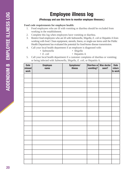### **(Photocopy and use this form to monitor employee illnesses.)**

### **Food code requirements for employee health:**

- 1. Food employees who are ill with vomiting or diarrhea should be excluded from working in the establishment.
- 2. Complete this log when employees have vomiting or diarrhea.
- 3. Restrict food employees who are ill with *Salmonella, Shigella, E. coli* or Hepatitis A from working with food. Clean equipment, utensils, linens, or single-use items until the Public Health Department has evaluated the potential for food-borne disease transmission.
- 4. Call your local health department if an employee is diagnosed with:
	- *Salmonella Shigella*
	- *E. coli*  Hepatitis A
- 
- 5. Call your local health department if a customer complains of diarrhea or vomiting; or being infected with *Salmonella, Shigella, E. coli,* or Hepatitis A.

| <b>Date</b><br>missed<br>work | <b>Employee</b><br>name | Symptoms/<br><b>illness</b> | vomiting? | Diarrhea or Was doctor<br>seen? | <b>Date</b><br>return<br>to work |
|-------------------------------|-------------------------|-----------------------------|-----------|---------------------------------|----------------------------------|
|                               |                         |                             |           |                                 |                                  |
|                               |                         |                             |           |                                 |                                  |
|                               |                         |                             |           |                                 |                                  |
|                               |                         |                             |           |                                 |                                  |
|                               |                         |                             |           |                                 |                                  |
|                               |                         |                             |           |                                 |                                  |
|                               |                         |                             |           |                                 |                                  |
|                               |                         |                             |           |                                 |                                  |
|                               |                         |                             |           |                                 |                                  |
|                               |                         |                             |           |                                 |                                  |
|                               |                         |                             |           |                                 |                                  |
|                               |                         |                             |           |                                 |                                  |
|                               |                         |                             |           |                                 |                                  |
|                               |                         |                             |           |                                 |                                  |
|                               |                         |                             |           |                                 |                                  |
|                               |                         |                             |           |                                 |                                  |
|                               |                         |                             |           |                                 |                                  |
|                               |                         |                             |           |                                 |                                  |
|                               |                         |                             |           |                                 |                                  |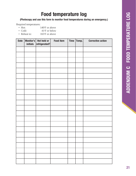# **Food temperature log**

**(Photocopy and use this form to monitor food temperatures during an emergency.)**

Required temperatures:

- Hot: 140°F or above
- Cold:  $41^{\circ}$ F or below
- Reheat to: 165°F or above

| <b>Date</b> | initials | Monitor's   Hot held or<br>refrigerated? | Food item | Time   Temp. | <b>Corrective action</b> |
|-------------|----------|------------------------------------------|-----------|--------------|--------------------------|
|             |          |                                          |           |              |                          |
|             |          |                                          |           |              |                          |
|             |          |                                          |           |              |                          |
|             |          |                                          |           |              |                          |
|             |          |                                          |           |              |                          |
|             |          |                                          |           |              |                          |
|             |          |                                          |           |              |                          |
|             |          |                                          |           |              |                          |
|             |          |                                          |           |              |                          |
|             |          |                                          |           |              |                          |
|             |          |                                          |           |              |                          |
|             |          |                                          |           |              |                          |
|             |          |                                          |           |              |                          |
|             |          |                                          |           |              |                          |
|             |          |                                          |           |              |                          |
|             |          |                                          |           |              |                          |
|             |          |                                          |           |              |                          |
|             |          |                                          |           |              |                          |
|             |          |                                          |           |              |                          |
|             |          |                                          |           |              |                          |
|             |          |                                          |           |              |                          |
|             |          |                                          |           |              |                          |